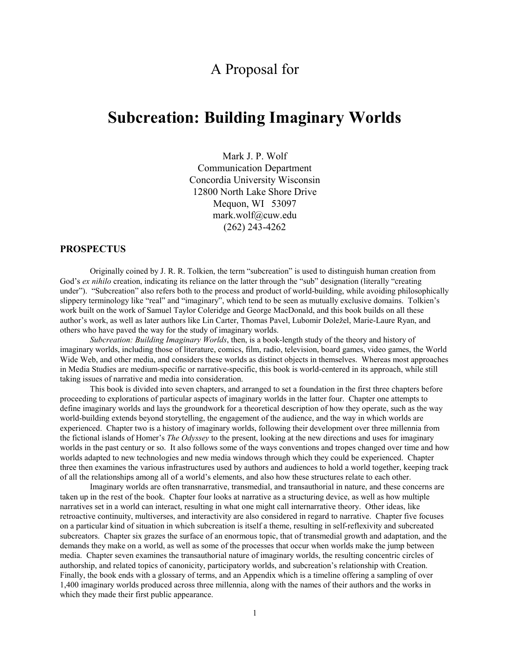# A Proposal for

# **Subcreation: Building Imaginary Worlds**

Mark J. P. Wolf Communication Department Concordia University Wisconsin 12800 North Lake Shore Drive Mequon, WI 53097 mark.wolf@cuw.edu (262) 243-4262

# **PROSPECTUS**

Originally coined by J. R. R. Tolkien, the term "subcreation" is used to distinguish human creation from God's *ex nihilo* creation, indicating its reliance on the latter through the "sub" designation (literally "creating under"). "Subcreation" also refers both to the process and product of world-building, while avoiding philosophically slippery terminology like "real" and "imaginary", which tend to be seen as mutually exclusive domains. Tolkien's work built on the work of Samuel Taylor Coleridge and George MacDonald, and this book builds on all these author's work, as well as later authors like Lin Carter, Thomas Pavel, Lubomir Doležel, Marie-Laure Ryan, and others who have paved the way for the study of imaginary worlds.

*Subcreation: Building Imaginary Worlds*, then, is a book-length study of the theory and history of imaginary worlds, including those of literature, comics, film, radio, television, board games, video games, the World Wide Web, and other media, and considers these worlds as distinct objects in themselves. Whereas most approaches in Media Studies are medium-specific or narrative-specific, this book is world-centered in its approach, while still taking issues of narrative and media into consideration.

This book is divided into seven chapters, and arranged to set a foundation in the first three chapters before proceeding to explorations of particular aspects of imaginary worlds in the latter four. Chapter one attempts to define imaginary worlds and lays the groundwork for a theoretical description of how they operate, such as the way world-building extends beyond storytelling, the engagement of the audience, and the way in which worlds are experienced. Chapter two is a history of imaginary worlds, following their development over three millennia from the fictional islands of Homer's *The Odyssey* to the present, looking at the new directions and uses for imaginary worlds in the past century or so. It also follows some of the ways conventions and tropes changed over time and how worlds adapted to new technologies and new media windows through which they could be experienced. Chapter three then examines the various infrastructures used by authors and audiences to hold a world together, keeping track of all the relationships among all of a world's elements, and also how these structures relate to each other.

Imaginary worlds are often transnarrative, transmedial, and transauthorial in nature, and these concerns are taken up in the rest of the book. Chapter four looks at narrative as a structuring device, as well as how multiple narratives set in a world can interact, resulting in what one might call internarrative theory. Other ideas, like retroactive continuity, multiverses, and interactivity are also considered in regard to narrative. Chapter five focuses on a particular kind of situation in which subcreation is itself a theme, resulting in self-reflexivity and subcreated subcreators. Chapter six grazes the surface of an enormous topic, that of transmedial growth and adaptation, and the demands they make on a world, as well as some of the processes that occur when worlds make the jump between media. Chapter seven examines the transauthorial nature of imaginary worlds, the resulting concentric circles of authorship, and related topics of canonicity, participatory worlds, and subcreation's relationship with Creation. Finally, the book ends with a glossary of terms, and an Appendix which is a timeline offering a sampling of over 1,400 imaginary worlds produced across three millennia, along with the names of their authors and the works in which they made their first public appearance.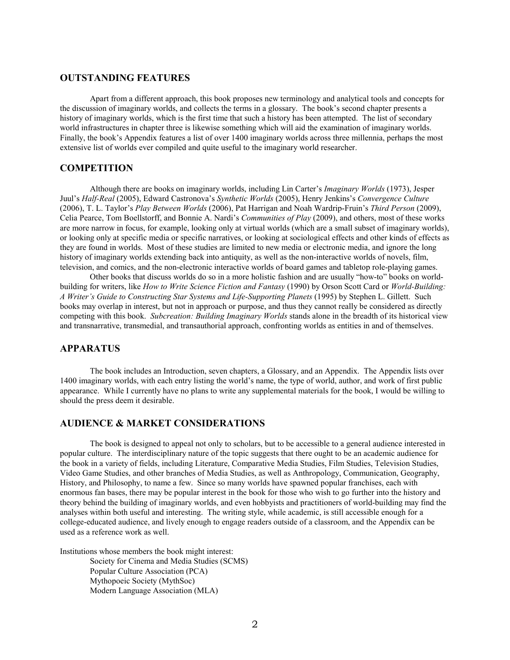# **OUTSTANDING FEATURES**

Apart from a different approach, this book proposes new terminology and analytical tools and concepts for the discussion of imaginary worlds, and collects the terms in a glossary. The book's second chapter presents a history of imaginary worlds, which is the first time that such a history has been attempted. The list of secondary world infrastructures in chapter three is likewise something which will aid the examination of imaginary worlds. Finally, the book's Appendix features a list of over 1400 imaginary worlds across three millennia, perhaps the most extensive list of worlds ever compiled and quite useful to the imaginary world researcher.

### **COMPETITION**

Although there are books on imaginary worlds, including Lin Carter's *Imaginary Worlds* (1973), Jesper Juul's *Half-Real* (2005), Edward Castronova's *Synthetic Worlds* (2005), Henry Jenkins's *Convergence Culture* (2006), T. L. Taylor's *Play Between Worlds* (2006), Pat Harrigan and Noah Wardrip-Fruin's *Third Person* (2009), Celia Pearce, Tom Boellstorff, and Bonnie A. Nardi's *Communities of Play* (2009), and others, most of these works are more narrow in focus, for example, looking only at virtual worlds (which are a small subset of imaginary worlds), or looking only at specific media or specific narratives, or looking at sociological effects and other kinds of effects as they are found in worlds. Most of these studies are limited to new media or electronic media, and ignore the long history of imaginary worlds extending back into antiquity, as well as the non-interactive worlds of novels, film, television, and comics, and the non-electronic interactive worlds of board games and tabletop role-playing games.

Other books that discuss worlds do so in a more holistic fashion and are usually "how-to" books on worldbuilding for writers, like *How to Write Science Fiction and Fantasy* (1990) by Orson Scott Card or *World-Building: A Writer's Guide to Constructing Star Systems and Life-Supporting Planets* (1995) by Stephen L. Gillett. Such books may overlap in interest, but not in approach or purpose, and thus they cannot really be considered as directly competing with this book. *Subcreation: Building Imaginary Worlds* stands alone in the breadth of its historical view and transnarrative, transmedial, and transauthorial approach, confronting worlds as entities in and of themselves.

# **APPARATUS**

The book includes an Introduction, seven chapters, a Glossary, and an Appendix. The Appendix lists over 1400 imaginary worlds, with each entry listing the world's name, the type of world, author, and work of first public appearance. While I currently have no plans to write any supplemental materials for the book, I would be willing to should the press deem it desirable.

# **AUDIENCE & MARKET CONSIDERATIONS**

The book is designed to appeal not only to scholars, but to be accessible to a general audience interested in popular culture. The interdisciplinary nature of the topic suggests that there ought to be an academic audience for the book in a variety of fields, including Literature, Comparative Media Studies, Film Studies, Television Studies, Video Game Studies, and other branches of Media Studies, as well as Anthropology, Communication, Geography, History, and Philosophy, to name a few. Since so many worlds have spawned popular franchises, each with enormous fan bases, there may be popular interest in the book for those who wish to go further into the history and theory behind the building of imaginary worlds, and even hobbyists and practitioners of world-building may find the analyses within both useful and interesting. The writing style, while academic, is still accessible enough for a college-educated audience, and lively enough to engage readers outside of a classroom, and the Appendix can be used as a reference work as well.

Institutions whose members the book might interest:

Society for Cinema and Media Studies (SCMS) Popular Culture Association (PCA) Mythopoeic Society (MythSoc) Modern Language Association (MLA)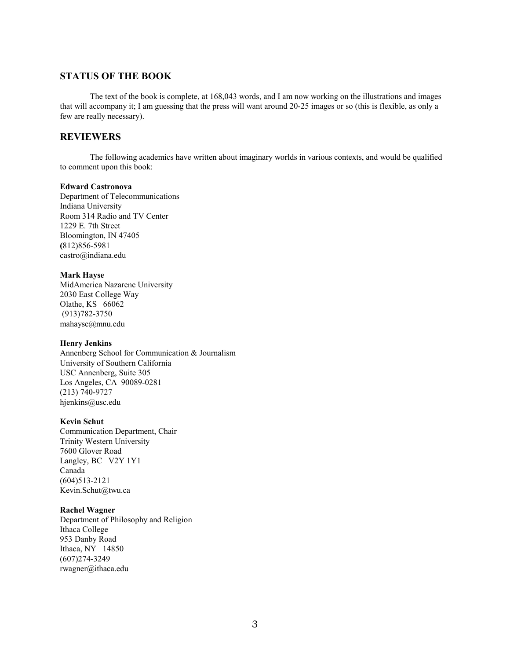# **STATUS OF THE BOOK**

The text of the book is complete, at 168,043 words, and I am now working on the illustrations and images that will accompany it; I am guessing that the press will want around 20-25 images or so (this is flexible, as only a few are really necessary).

# **REVIEWERS**

The following academics have written about imaginary worlds in various contexts, and would be qualified to comment upon this book:

#### **Edward Castronova**

Department of Telecommunications Indiana University Room 314 Radio and TV Center 1229 E. 7th Street Bloomington, IN 47405 **(**812)856-5981 castro@indiana.edu

### **Mark Hayse**

MidAmerica Nazarene University 2030 East College Way Olathe, KS 66062 (913)782-3750 mahayse@mnu.edu

### **Henry Jenkins**

Annenberg School for Communication & Journalism University of Southern California USC Annenberg, Suite 305 Los Angeles, CA 90089-0281 (213) 740-9727 hjenkins@usc.edu

### **Kevin Schut**

Communication Department, Chair Trinity Western University 7600 Glover Road Langley, BC V2Y 1Y1 Canada (604)513-2121 Kevin.Schut@twu.ca

#### **Rachel Wagner**

Department of Philosophy and Religion Ithaca College 953 Danby Road Ithaca, NY 14850 (607)274-3249 rwagner@ithaca.edu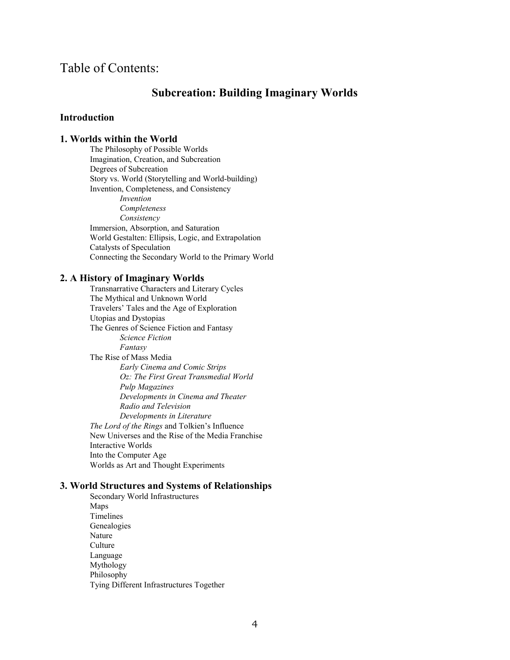# Table of Contents:

# **Subcreation: Building Imaginary Worlds**

# **Introduction**

## **1. Worlds within the World**

The Philosophy of Possible Worlds Imagination, Creation, and Subcreation Degrees of Subcreation Story vs. World (Storytelling and World-building) Invention, Completeness, and Consistency *Invention Completeness Consistency* Immersion, Absorption, and Saturation World Gestalten: Ellipsis, Logic, and Extrapolation Catalysts of Speculation Connecting the Secondary World to the Primary World

### **2. A History of Imaginary Worlds**

Transnarrative Characters and Literary Cycles The Mythical and Unknown World Travelers' Tales and the Age of Exploration Utopias and Dystopias The Genres of Science Fiction and Fantasy *Science Fiction Fantasy* The Rise of Mass Media *Early Cinema and Comic Strips Oz: The First Great Transmedial World Pulp Magazines Developments in Cinema and Theater Radio and Television Developments in Literature The Lord of the Rings* and Tolkien's Influence New Universes and the Rise of the Media Franchise Interactive Worlds Into the Computer Age Worlds as Art and Thought Experiments

# **3. World Structures and Systems of Relationships**

Secondary World Infrastructures Maps Timelines Genealogies Nature **Culture** Language Mythology Philosophy Tying Different Infrastructures Together